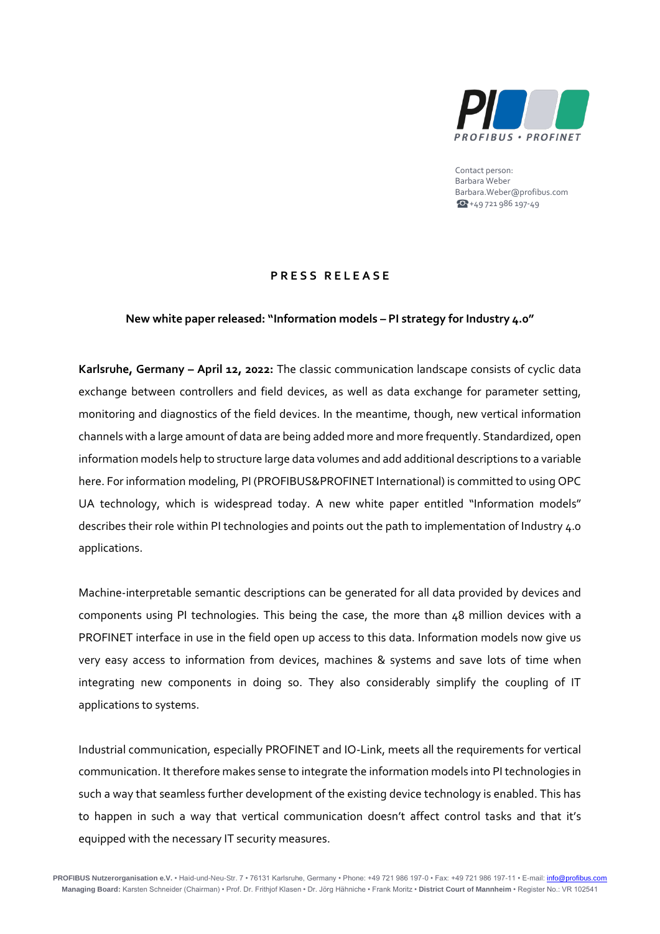

Contact person: Barbara Weber Barbara.Weber@profibus.com  $+49721986197-49$ 

## **P R E S S R E L E A S E**

## **New white paper released: "Information models – PI strategy for Industry 4.0"**

**Karlsruhe, Germany – April 12, 2022:** The classic communication landscape consists of cyclic data exchange between controllers and field devices, as well as data exchange for parameter setting, monitoring and diagnostics of the field devices. In the meantime, though, new vertical information channels with a large amount of data are being added more and more frequently. Standardized, open information models help to structure large data volumes and add additional descriptions to a variable here. For information modeling, PI (PROFIBUS&PROFINET International) is committed to using OPC UA technology, which is widespread today. A new white paper entitled "Information models" describes their role within PI technologies and points out the path to implementation of Industry 4.0 applications.

Machine-interpretable semantic descriptions can be generated for all data provided by devices and components using PI technologies. This being the case, the more than 48 million devices with a PROFINET interface in use in the field open up access to this data. Information models now give us very easy access to information from devices, machines & systems and save lots of time when integrating new components in doing so. They also considerably simplify the coupling of IT applications to systems.

Industrial communication, especially PROFINET and IO-Link, meets all the requirements for vertical communication. It therefore makes sense to integrate the information models into PI technologies in such a way that seamless further development of the existing device technology is enabled. This has to happen in such a way that vertical communication doesn't affect control tasks and that it's equipped with the necessary IT security measures.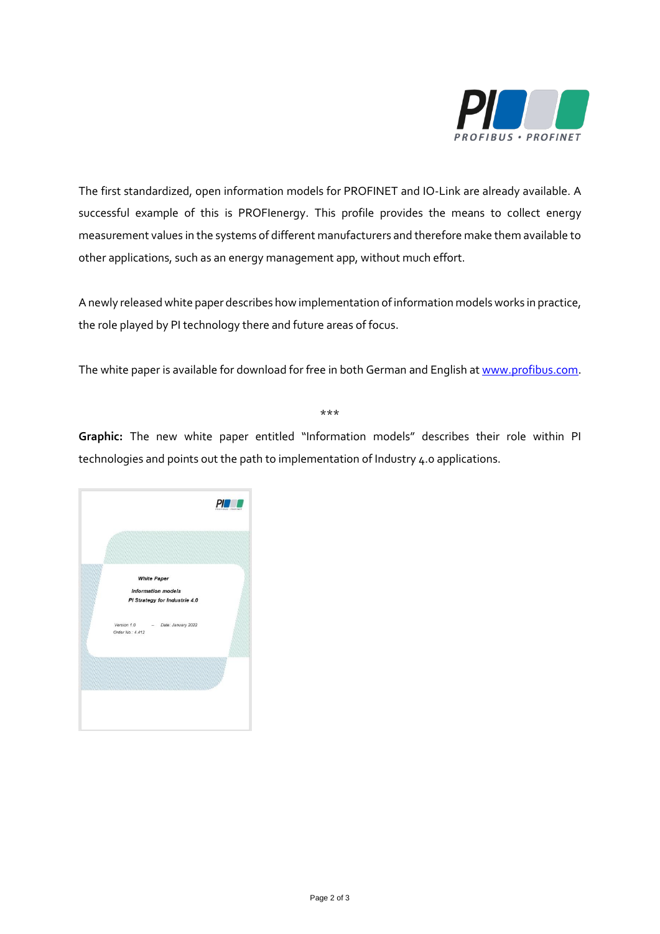

The first standardized, open information models for PROFINET and IO-Link are already available. A successful example of this is PROFIenergy. This profile provides the means to collect energy measurement values in the systems of different manufacturers and therefore make them available to other applications, such as an energy management app, without much effort.

A newly released white paper describes how implementation of information models works in practice, the role played by PI technology there and future areas of focus.

The white paper is available for download for free in both German and English at [www.profibus.com.](http://www.profibus.com/)

\*\*\*

**Graphic:** The new white paper entitled "Information models" describes their role within PI technologies and points out the path to implementation of Industry 4.0 applications.

|                  | <b>White Paper</b>            |  |
|------------------|-------------------------------|--|
|                  | <b>Information models</b>     |  |
|                  | PI Strategy for Industrie 4.0 |  |
|                  |                               |  |
| Version 1.0      | Date: January 2022            |  |
| Order No.: 4.412 |                               |  |
|                  |                               |  |
|                  |                               |  |
|                  |                               |  |
|                  |                               |  |
|                  |                               |  |
|                  |                               |  |
|                  |                               |  |